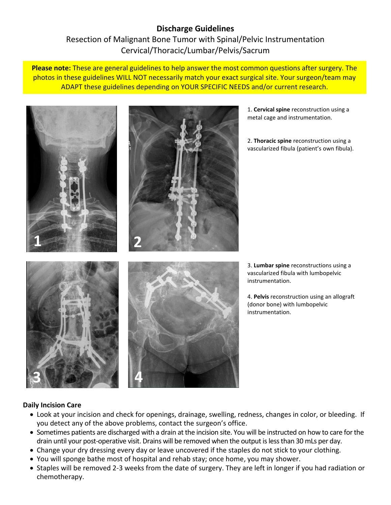# **Discharge Guidelines** Resection of Malignant Bone Tumor with Spinal/Pelvic Instrumentation Cervical/Thoracic/Lumbar/Pelvis/Sacrum

**Please note:** These are general guidelines to help answer the most common questions after surgery. The photos in these guidelines WILL NOT necessarily match your exact surgical site. Your surgeon/team may ADAPT these guidelines depending on YOUR SPECIFIC NEEDS and/or current research.



# **Daily Incision Care**

- Look at your incision and check for openings, drainage, swelling, redness, changes in color, or bleeding. If you detect any of the above problems, contact the surgeon's office.
- Sometimes patients are discharged with a drain at the incision site. You will be instructed on how to care for the drain until your post-operative visit. Drains will be removed when the output is less than 30 mLs per day.
- Change your dry dressing every day or leave uncovered if the staples do not stick to your clothing.
- You will sponge bathe most of hospital and rehab stay; once home, you may shower.
- Staples will be removed 2-3 weeks from the date of surgery. They are left in longer if you had radiation or chemotherapy.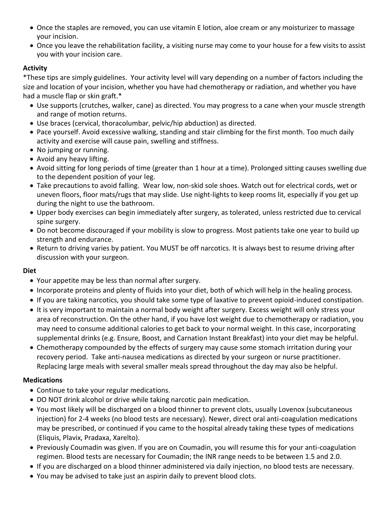- Once the staples are removed, you can use vitamin E lotion, aloe cream or any moisturizer to massage your incision.
- Once you leave the rehabilitation facility, a visiting nurse may come to your house for a few visits to assist you with your incision care.

# **Activity**

\*These tips are simply guidelines. Your activity level will vary depending on a number of factors including the size and location of your incision, whether you have had chemotherapy or radiation, and whether you have had a muscle flap or skin graft.\*

- Use supports (crutches, walker, cane) as directed. You may progress to a cane when your muscle strength and range of motion returns.
- Use braces (cervical, thoracolumbar, pelvic/hip abduction) as directed.
- Pace yourself. Avoid excessive walking, standing and stair climbing for the first month. Too much daily activity and exercise will cause pain, swelling and stiffness.
- No jumping or running.
- Avoid any heavy lifting.
- Avoid sitting for long periods of time (greater than 1 hour at a time). Prolonged sitting causes swelling due to the dependent position of your leg.
- Take precautions to avoid falling. Wear low, non-skid sole shoes. Watch out for electrical cords, wet or uneven floors, floor mats/rugs that may slide. Use night-lights to keep rooms lit, especially if you get up during the night to use the bathroom.
- Upper body exercises can begin immediately after surgery, as tolerated, unless restricted due to cervical spine surgery.
- Do not become discouraged if your mobility is slow to progress. Most patients take one year to build up strength and endurance.
- Return to driving varies by patient. You MUST be off narcotics. It is always best to resume driving after discussion with your surgeon.

# **Diet**

- Your appetite may be less than normal after surgery.
- Incorporate proteins and plenty of fluids into your diet, both of which will help in the healing process.
- If you are taking narcotics, you should take some type of laxative to prevent opioid-induced constipation.
- It is very important to maintain a normal body weight after surgery. Excess weight will only stress your area of reconstruction. On the other hand, if you have lost weight due to chemotherapy or radiation, you may need to consume additional calories to get back to your normal weight. In this case, incorporating supplemental drinks (e.g. Ensure, Boost, and Carnation Instant Breakfast) into your diet may be helpful.
- Chemotherapy compounded by the effects of surgery may cause some stomach irritation during your recovery period. Take anti-nausea medications as directed by your surgeon or nurse practitioner. Replacing large meals with several smaller meals spread throughout the day may also be helpful.

# **Medications**

- Continue to take your regular medications.
- DO NOT drink alcohol or drive while taking narcotic pain medication.
- You most likely will be discharged on a blood thinner to prevent clots, usually Lovenox (subcutaneous injection) for 2-4 weeks (no blood tests are necessary). Newer, direct oral anti-coagulation medications may be prescribed, or continued if you came to the hospital already taking these types of medications (Eliquis, Plavix, Pradaxa, Xarelto).
- Previously Coumadin was given. If you are on Coumadin, you will resume this for your anti-coagulation regimen. Blood tests are necessary for Coumadin; the INR range needs to be between 1.5 and 2.0.
- If you are discharged on a blood thinner administered via daily injection, no blood tests are necessary.
- You may be advised to take just an aspirin daily to prevent blood clots.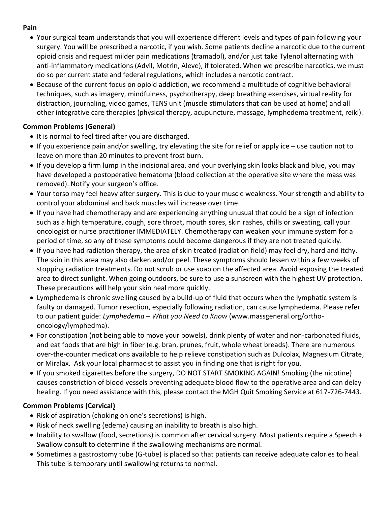# **Pain**

- Your surgical team understands that you will experience different levels and types of pain following your surgery. You will be prescribed a narcotic, if you wish. Some patients decline a narcotic due to the current opioid crisis and request milder pain medications (tramadol), and/or just take Tylenol alternating with anti-inflammatory medications (Advil, Motrin, Aleve), if tolerated. When we prescribe narcotics, we must do so per current state and federal regulations, which includes a narcotic contract.
- Because of the current focus on opioid addiction, we recommend a multitude of cognitive behavioral techniques, such as imagery, mindfulness, psychotherapy, deep breathing exercises, virtual reality for distraction, journaling, video games, TENS unit (muscle stimulators that can be used at home) and all other integrative care therapies (physical therapy, acupuncture, massage, lymphedema treatment, reiki).

# **Common Problems (General)**

- It is normal to feel tired after you are discharged.
- If you experience pain and/or swelling, try elevating the site for relief or apply ice use caution not to leave on more than 20 minutes to prevent frost burn.
- If you develop a firm lump in the incisional area, and your overlying skin looks black and blue, you may have developed a postoperative hematoma (blood collection at the operative site where the mass was removed). Notify your surgeon's office.
- Your torso may feel heavy after surgery. This is due to your muscle weakness. Your strength and ability to control your abdominal and back muscles will increase over time.
- If you have had chemotherapy and are experiencing anything unusual that could be a sign of infection such as a high temperature, cough, sore throat, mouth sores, skin rashes, chills or sweating, call your oncologist or nurse practitioner IMMEDIATELY. Chemotherapy can weaken your immune system for a period of time, so any of these symptoms could become dangerous if they are not treated quickly.
- If you have had radiation therapy, the area of skin treated (radiation field) may feel dry, hard and itchy. The skin in this area may also darken and/or peel. These symptoms should lessen within a few weeks of stopping radiation treatments. Do not scrub or use soap on the affected area. Avoid exposing the treated area to direct sunlight. When going outdoors, be sure to use a sunscreen with the highest UV protection. These precautions will help your skin heal more quickly.
- Lymphedema is chronic swelling caused by a build-up of fluid that occurs when the lymphatic system is faulty or damaged. Tumor resection, especially following radiation, can cause lymphedema. Please refer to our patient guide: *Lymphedema – What you Need to Know* (www.massgeneral.org/orthooncology/lymphedma).
- For constipation (not being able to move your bowels), drink plenty of water and non-carbonated fluids, and eat foods that are high in fiber (e.g. bran, prunes, fruit, whole wheat breads). There are numerous over-the-counter medications available to help relieve constipation such as Dulcolax, Magnesium Citrate, or Miralax. Ask your local pharmacist to assist you in finding one that is right for you.
- If you smoked cigarettes before the surgery, DO NOT START SMOKING AGAIN! Smoking (the nicotine) causes constriction of blood vessels preventing adequate blood flow to the operative area and can delay healing. If you need assistance with this, please contact the MGH Quit Smoking Service at 617-726-7443.

# **Common Problems (Cervical)**

- Risk of aspiration (choking on one's secretions) is high.
- Risk of neck swelling (edema) causing an inability to breath is also high.
- Inability to swallow (food, secretions) is common after cervical surgery. Most patients require a Speech + Swallow consult to determine if the swallowing mechanisms are normal.
- Sometimes a gastrostomy tube (G-tube) is placed so that patients can receive adequate calories to heal. This tube is temporary until swallowing returns to normal.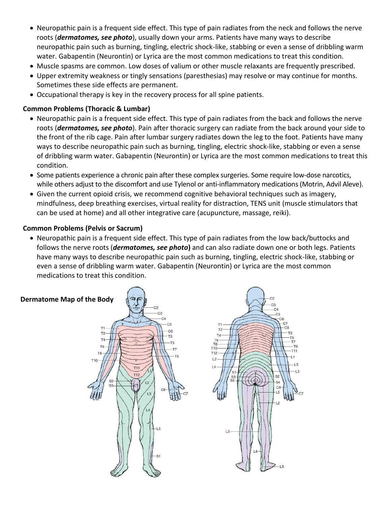- Neuropathic pain is a frequent side effect. This type of pain radiates from the neck and follows the nerve roots (*dermatomes, see photo*), usually down your arms. Patients have many ways to describe neuropathic pain such as burning, tingling, electric shock-like, stabbing or even a sense of dribbling warm water. Gabapentin (Neurontin) or Lyrica are the most common medications to treat this condition.
- Muscle spasms are common. Low doses of valium or other muscle relaxants are frequently prescribed.
- Upper extremity weakness or tingly sensations (paresthesias) may resolve or may continue for months. Sometimes these side effects are permanent.
- Occupational therapy is key in the recovery process for all spine patients.

# **Common Problems (Thoracic & Lumbar)**

- Neuropathic pain is a frequent side effect. This type of pain radiates from the back and follows the nerve roots (*dermatomes, see photo*). Pain after thoracic surgery can radiate from the back around your side to the front of the rib cage. Pain after lumbar surgery radiates down the leg to the foot. Patients have many ways to describe neuropathic pain such as burning, tingling, electric shock-like, stabbing or even a sense of dribbling warm water. Gabapentin (Neurontin) or Lyrica are the most common medications to treat this condition.
- Some patients experience a chronic pain after these complex surgeries. Some require low-dose narcotics, while others adjust to the discomfort and use Tylenol or anti-inflammatory medications (Motrin, Advil Aleve).
- Given the current opioid crisis, we recommend cognitive behavioral techniques such as imagery, mindfulness, deep breathing exercises, virtual reality for distraction, TENS unit (muscle stimulators that can be used at home) and all other integrative care (acupuncture, massage, reiki).

# **Common Problems (Pelvis or Sacrum)**

 Neuropathic pain is a frequent side effect. This type of pain radiates from the low back/buttocks and follows the nerve roots (*dermatomes, see photo***)** and can also radiate down one or both legs. Patients have many ways to describe neuropathic pain such as burning, tingling, electric shock-like, stabbing or even a sense of dribbling warm water. Gabapentin (Neurontin) or Lyrica are the most common medications to treat this condition.

Τ5

T<sub>11</sub>

L<sub>3</sub>

 $L1$ 

S2 S<sub>4</sub> C<sub>8</sub>

L<sub>5</sub>  $\overline{2}$ 

# **Dermatome Map of the Body**

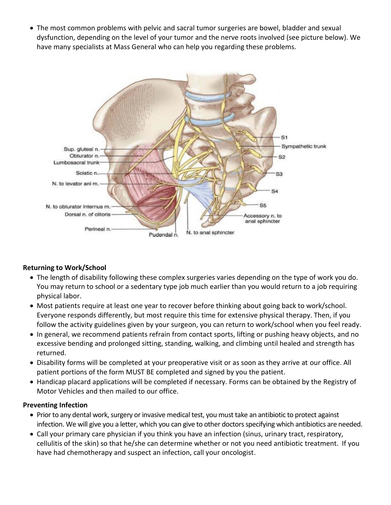The most common problems with pelvic and sacral tumor surgeries are bowel, bladder and sexual dysfunction, depending on the level of your tumor and the nerve roots involved (see picture below). We have many specialists at Mass General who can help you regarding these problems.



# **Returning to Work/School**

- The length of disability following these complex surgeries varies depending on the type of work you do. You may return to school or a sedentary type job much earlier than you would return to a job requiring physical labor.
- Most patients require at least one year to recover before thinking about going back to work/school. Everyone responds differently, but most require this time for extensive physical therapy. Then, if you follow the activity guidelines given by your surgeon, you can return to work/school when you feel ready.
- In general, we recommend patients refrain from contact sports, lifting or pushing heavy objects, and no excessive bending and prolonged sitting, standing, walking, and climbing until healed and strength has returned.
- Disability forms will be completed at your preoperative visit or as soon as they arrive at our office. All patient portions of the form MUST BE completed and signed by you the patient.
- Handicap placard applications will be completed if necessary. Forms can be obtained by the Registry of Motor Vehicles and then mailed to our office.

# **Preventing Infection**

- Prior to any dental work, surgery or invasive medical test, you must take an antibiotic to protect against infection. We will give you a letter, which you can give to other doctors specifying which antibiotics are needed.
- Call your primary care physician if you think you have an infection (sinus, urinary tract, respiratory, cellulitis of the skin) so that he/she can determine whether or not you need antibiotic treatment. If you have had chemotherapy and suspect an infection, call your oncologist.